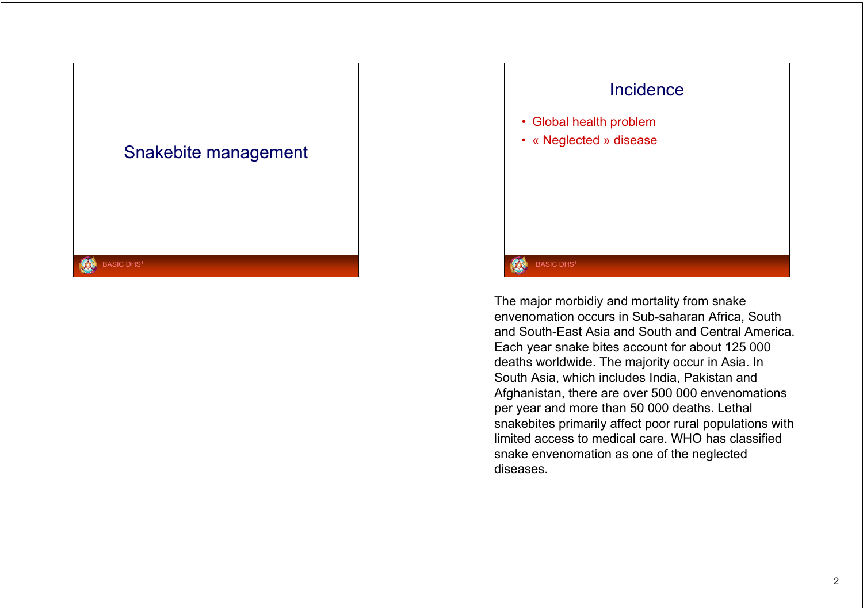### Snakebite management

**BASIC DHS1** 

### Incidence

- Global health problem
- « Neglected » disease

### **BASIC DHS1**

The major morbidiy and mortality from snake envenomation occurs in Sub-saharan Africa, South and South-East Asia and South and Central America. Each year snake bites account for about 125 000 deaths worldwide. The majority occur in Asia. In South Asia, which includes India, Pakistan and Afghanistan, there are over 500 000 envenomations per year and more than 50 000 deaths. Lethal snakebites primarily affect poor rural populations with limited access to medical care. WHO has classified snake envenomation as one of the neglected diseases.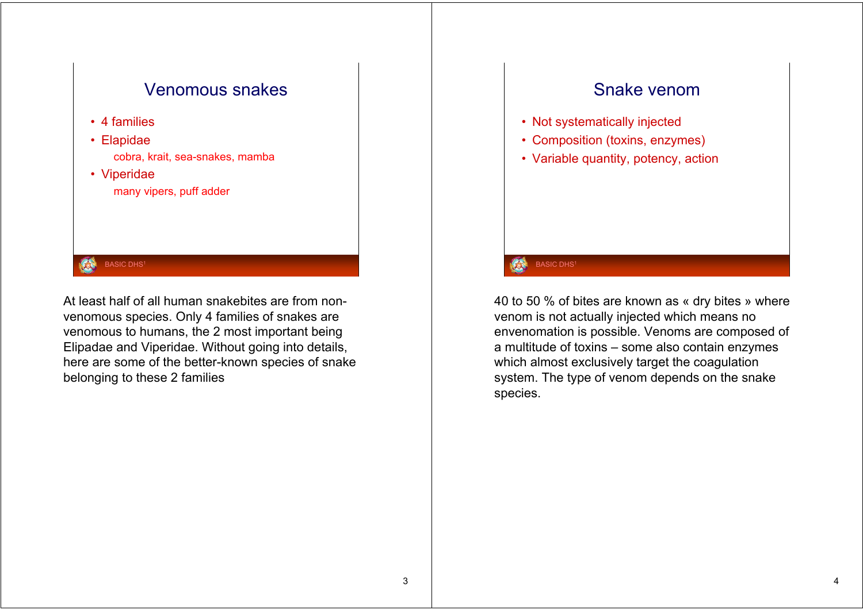

At least half of all human snakebites are from nonvenomous species. Only 4 families of snakes are venomous to humans, the 2 most important being Elipadae and Viperidae. Without going into details, here are some of the better-known species of snake belonging to these 2 families

### Snake venom

- Not systematically injected
- Composition (toxins, enzymes)
- Variable quantity, potency, action

### **BASIC DHS1**

40 to 50 % of bites are known as « dry bites » where venom is not actually injected which means no envenomation is possible. Venoms are composed of a multitude of toxins – some also contain enzymes which almost exclusively target the coagulation system. The type of venom depends on the snake species.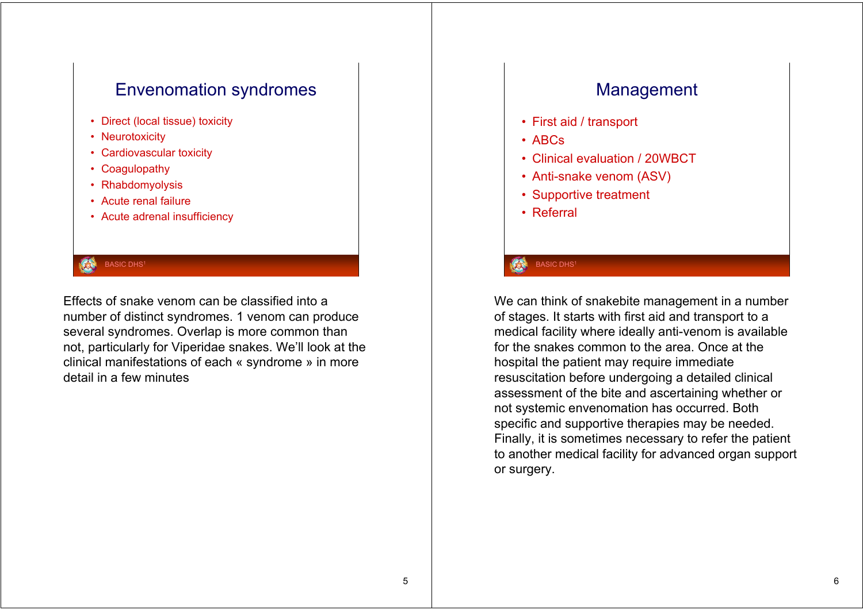# Envenomation syndromes

- Direct (local tissue) toxicity
- Neurotoxicity
- Cardiovascular toxicity
- Coagulopathy
- Rhabdomyolysis
- Acute renal failure
- Acute adrenal insufficiency

### **BASIC DHS1**

Effects of snake venom can be classified into a number of distinct syndromes. 1 venom can produce several syndromes. Overlap is more common than not, particularly for Viperidae snakes. We'll look at the clinical manifestations of each « syndrome » in more detail in a few minutes

### Management

- First aid / transport
- ABCs
- Clinical evaluation / 20WBCT
- Anti-snake venom (ASV)
- Supportive treatment
- Referral

### **BASIC DHS1**

We can think of snakebite management in a number of stages. It starts with first aid and transport to a medical facility where ideally anti-venom is available for the snakes common to the area. Once at the hospital the patient may require immediate resuscitation before undergoing a detailed clinical assessment of the bite and ascertaining whether or not systemic envenomation has occurred. Both specific and supportive therapies may be needed. Finally, it is sometimes necessary to refer the patient to another medical facility for advanced organ support or surgery.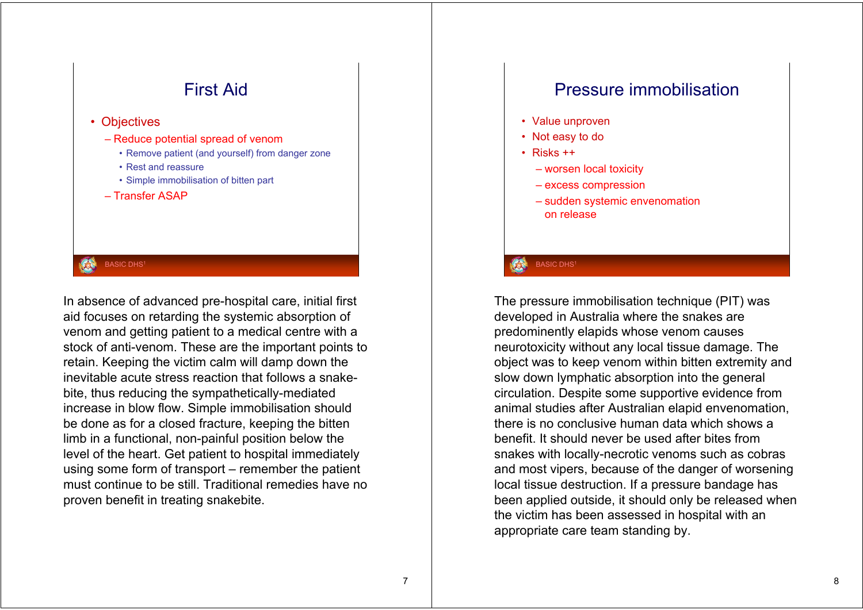

In absence of advanced pre-hospital care, initial first aid focuses on retarding the systemic absorption of venom and getting patient to a medical centre with <sup>a</sup> stock of anti-venom. These are the important points to retain. Keeping the victim calm will damp down the inevitable acute stress reaction that follows a snakebite, thus reducing the sympathetically-mediated increase in blow flow. Simple immobilisation should be done as for a closed fracture, keeping the bitten limb in a functional, non-painful position below the level of the heart. Get patient to hospital immediately using some form of transport – remember the patient must continue to be still. Traditional remedies have no proven benefit in treating snakebite.

### Pressure immobilisation

- Value unproven
- Not easy to do
- Risks ++
	- worsen local toxicity
	- excess compression
	- sudden systemic envenomation on release

### **BASIC DHS1**

The pressure immobilisation technique (PIT) was developed in Australia where the snakes are predominently elapids whose venom causes neurotoxicity without any local tissue damage. The object was to keep venom within bitten extremity and slow down lymphatic absorption into the general circulation. Despite some supportive evidence from animal studies after Australian elapid envenomation, there is no conclusive human data which shows a benefit. It should never be used after bites from snakes with locally-necrotic venoms such as cobras and most vipers, because of the danger of worsening local tissue destruction. If a pressure bandage has been applied outside, it should only be released when the victim has been assessed in hospital with an appropriate care team standing by.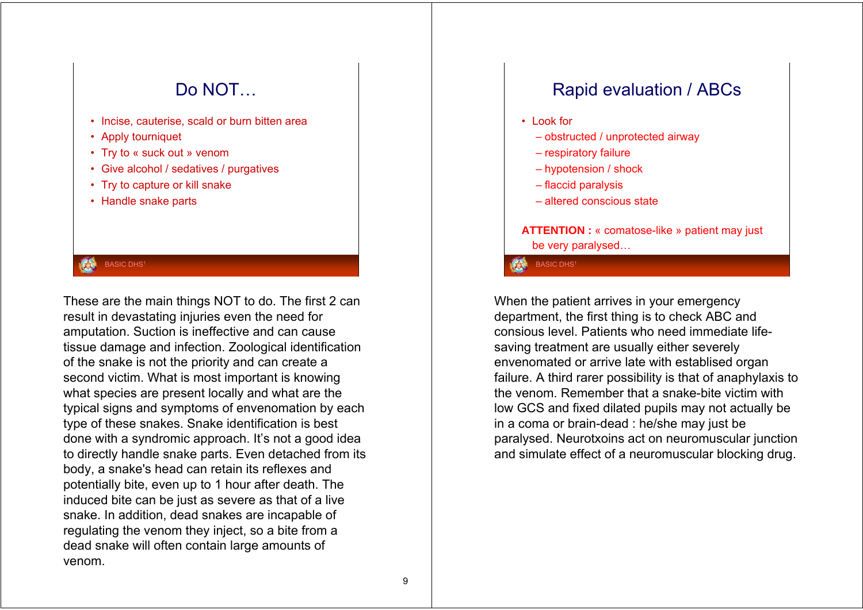# Do NOT… • Incise, cauterise, scald or burn bitten area • Apply tourniquet • Try to « suck out » venom • Give alcohol / sedatives / purgatives • Try to capture or kill snake • Handle snake parts

**BASIC DHS1** 

These are the main things NOT to do. The first 2 can result in devastating injuries even the need for amputation. Suction is ineffective and can cause tissue damage and infection. Zoological identification of the snake is not the priority and can create a second victim. What is most important is knowing what species are present locally and what are the typical signs and symptoms of envenomation by each type of these snakes. Snake identification is best done with a syndromic approach. It's not a good idea to directly handle snake parts. Even detached from its body, a snake's head can retain its reflexes and potentially bite, even up to 1 hour after death. The induced bite can be just as severe as that of a live snake. In addition, dead snakes are incapable of regulating the venom they inject, so a bite from a dead snake will often contain large amounts of venom.

# Rapid evaluation / ABCs

- Look for
	- obstructed / unprotected airway
	- respiratory failure
	- hypotension / shock
	- flaccid paralysis
	- altered conscious state

**ATTENTION :** « comatose-like » patient may just be very paralysed…

**BASIC DHS<sup>1</sup>** 

When the patient arrives in your emergency department, the first thing is to check ABC and consious level. Patients who need immediate lifesaving treatment are usually either severely envenomated or arrive late with establised organ failure. A third rarer possibility is that of anaphylaxis to the venom. Remember that a snake-bite victim with low GCS and fixed dilated pupils may not actually be in a coma or brain-dead : he/she may just be paralysed. Neurotxoins act on neuromuscular junction and simulate effect of a neuromuscular blocking drug.

9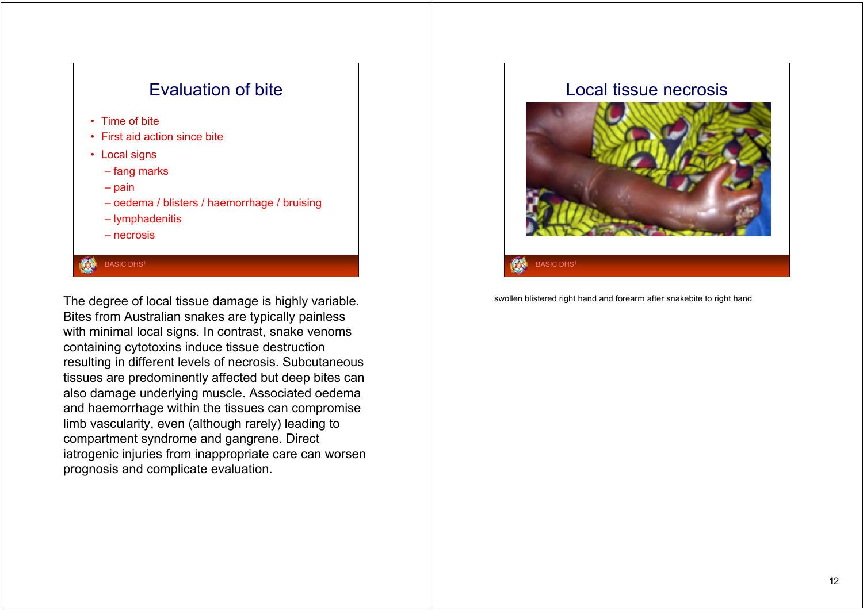## Evaluation of bite

- Time of bite
- First aid action since bite
- Local signs
	- fang marks
	- pain
	- oedema / blisters / haemorrhage / bruising
	- lymphadenitis
	- necrosis

### BASIC DHS<sup>1</sup>

The degree of local tissue damage is highly variable. Bites from Australian snakes are typically painless with minimal local signs. In contrast, snake venoms containing cytotoxins induce tissue destruction resulting in different levels of necrosis. Subcutaneous tissues are predominently affected but deep bites can also damage underlying muscle. Associated oedema and haemorrhage within the tissues can compromise limb vascularity, even (although rarely) leading to compartment syndrome and gangrene. Direct iatrogenic injuries from inappropriate care can worsen prognosis and complicate evaluation.

### Local tissue necrosis



**BASIC DHS** 

swollen blistered right hand and forearm after snakebite to right hand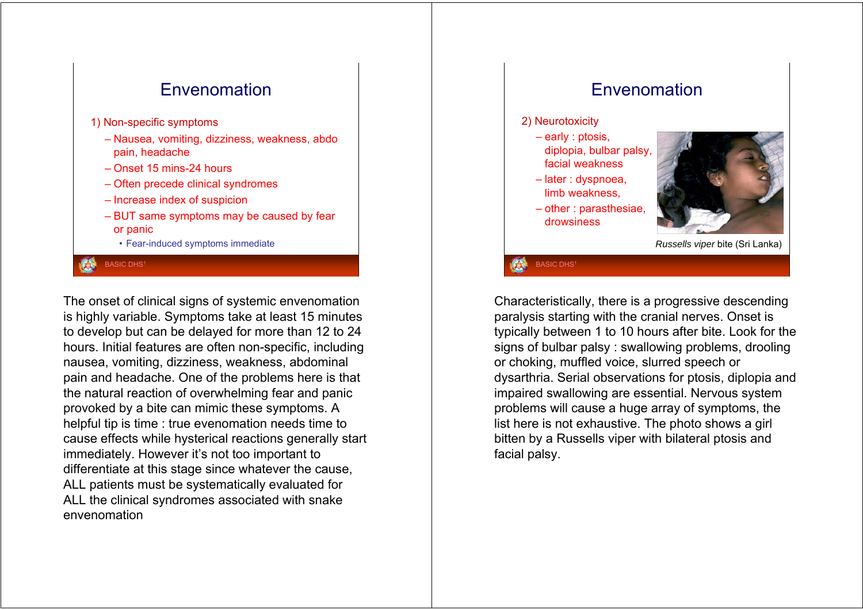

The onset of clinical signs of systemic envenomation is highly variable. Symptoms take at least 15 minutes to develop but can be delayed for more than 12 to 24 hours. Initial features are often non-specific, including nausea, vomiting, dizziness, weakness, abdominal pain and headache. One of the problems here is that the natural reaction of overwhelming fear and panic provoked by a bite can mimic these symptoms. A helpful tip is time : true evenomation needs time to cause effects while hysterical reactions generally start immediately. However it's not too important to differentiate at this stage since whatever the cause, ALL patients must be systematically evaluated for ALL the clinical syndromes associated with snake envenomation

### Envenomation

### 2) Neurotoxicity

- early : ptosis, diplopia, bulbar palsy, facial weakness
- later : dyspnoea, limb weakness,
- other : parasthesiae, drowsiness



*Russells viper* bite (Sri Lanka)

**BASIC DHS1** 

Characteristically, there is a progressive descending paralysis starting with the cranial nerves. Onset is typically between 1 to 10 hours after bite. Look for the signs of bulbar palsy : swallowing problems, drooling or choking, muffled voice, slurred speech or dysarthria. Serial observations for ptosis, diplopia and impaired swallowing are essential. Nervous system problems will cause a huge array of symptoms, the list here is not exhaustive. The photo shows a girl bitten by a Russells viper with bilateral ptosis and facial palsy.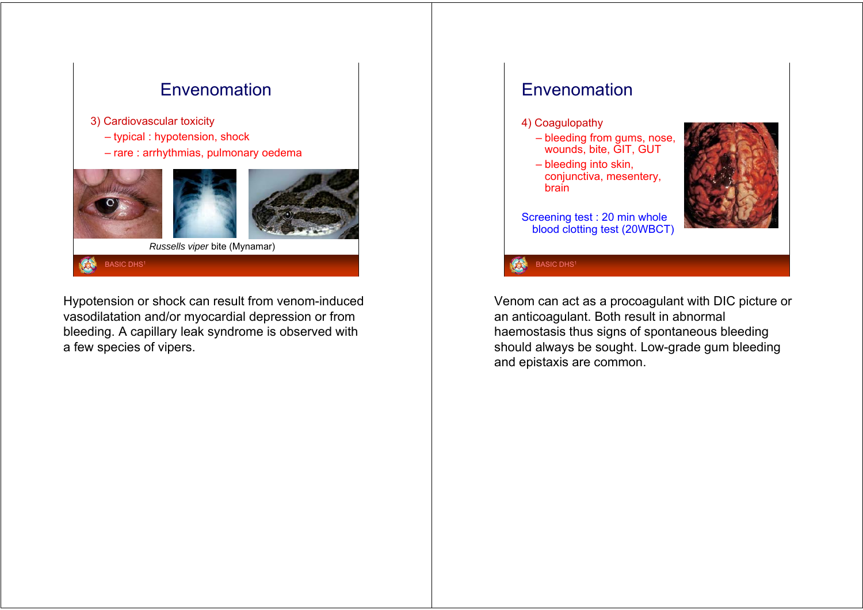

Hypotension or shock can result from venom-induced vasodilatation and/or myocardial depression or from bleeding. A capillary leak syndrome is observed with a few species of vipers.

### Envenomation

### 4) Coagulopathy

- bleeding from gums, nose, wounds, bite, GIT, GUT
- bleeding into skin, conjunctiva, mesentery, brain



Screening test : 20 min whole blood clotting test (20WBCT)

Venom can act as a procoagulant with DIC picture or an anticoagulant. Both result in abnormal haemostasis thus signs of spontaneous bleeding should always be sought. Low-grade gum bleeding and epistaxis are common.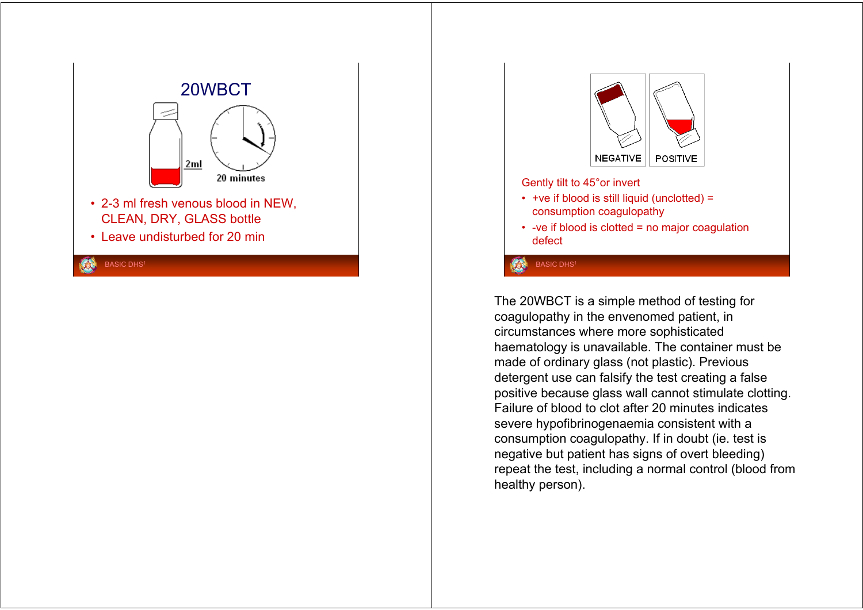



The 20WBCT is a simple method of testing for coagulopathy in the envenomed patient, in circumstances where more sophisticated haematology is unavailable. The container must be made of ordinary glass (not plastic). Previous detergent use can falsify the test creating a false positive because glass wall cannot stimulate clotting. Failure of blood to clot after 20 minutes indicates severe hypofibrinogenaemia consistent with <sup>a</sup> consumption coagulopathy. If in doubt (ie. test is negative but patient has signs of overt bleeding) repeat the test, including a normal control (blood from healthy person).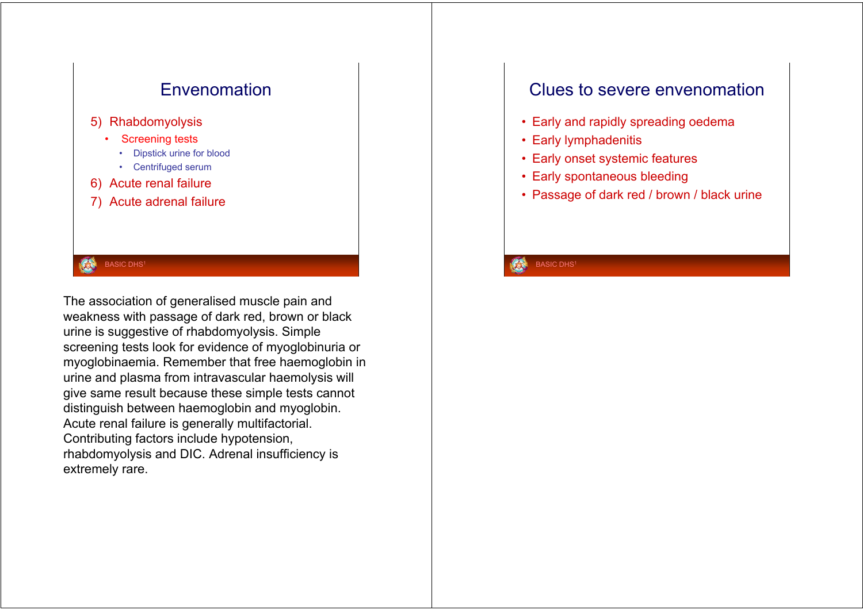

The association of generalised muscle pain and weakness with passage of dark red, brown or black urine is suggestive of rhabdomyolysis. Simple screening tests look for evidence of myoglobinuria or myoglobinaemia. Remember that free haemoglobin in urine and plasma from intravascular haemolysis will give same result because these simple tests cannot distinguish between haemoglobin and myoglobin. Acute renal failure is generally multifactorial. Contributing factors include hypotension, rhabdomyolysis and DIC. Adrenal insufficiency is extremely rare.

### Clues to severe envenomation

- Early and rapidly spreading oedema
- Early lymphadenitis
- Early onset systemic features
- Early spontaneous bleeding
- Passage of dark red / brown / black urine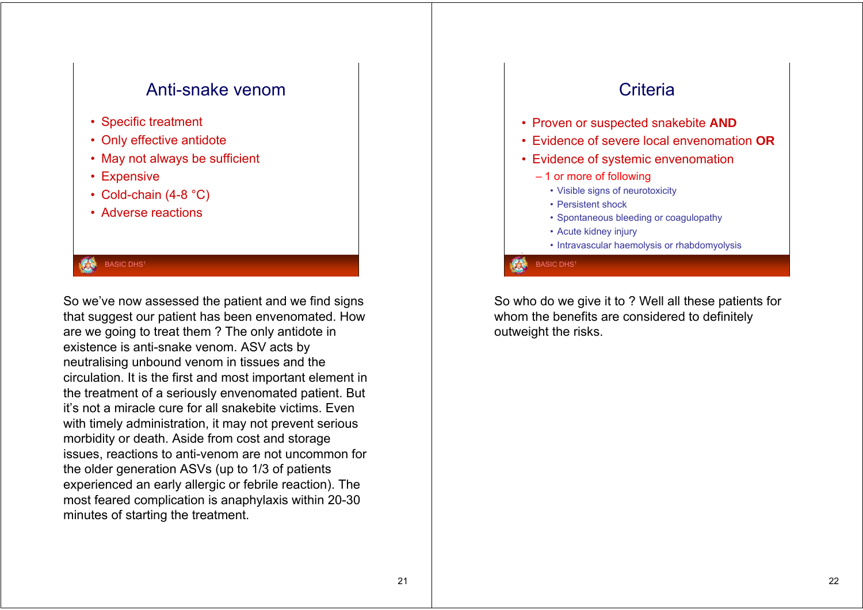### Anti-snake venom

- Specific treatment
- Only effective antidote
- May not always be sufficient
- Expensive
- Cold-chain (4-8 °C)
- Adverse reactions

#### **BASIC DHS1**

So we've now assessed the patient and we find signs that suggest our patient has been envenomated. How are we going to treat them ? The only antidote in existence is anti-snake venom. ASV acts by neutralising unbound venom in tissues and the circulation. It is the first and most important element in the treatment of a seriously envenomated patient. But it's not a miracle cure for all snakebite victims. Even with timely administration, it may not prevent serious morbidity or death. Aside from cost and storage issues, reactions to anti-venom are not uncommon for the older generation ASVs (up to 1/3 of patients experienced an early allergic or febrile reaction). The most feared complication is anaphylaxis within 20-30 minutes of starting the treatment.

# **Criteria**

- Proven or suspected snakebite **AND**
- Evidence of severe local envenomation **OR**
- Evidence of systemic envenomation
	- 1 or more of following
		- Visible signs of neurotoxicity
		- Persistent shock
		- Spontaneous bleeding or coagulopathy
		- Acute kidney injury
		- Intravascular haemolysis or rhabdomyolysis

**BASIC DHS1** 

So who do we give it to ? Well all these patients for whom the benefits are considered to definitely outweight the risks.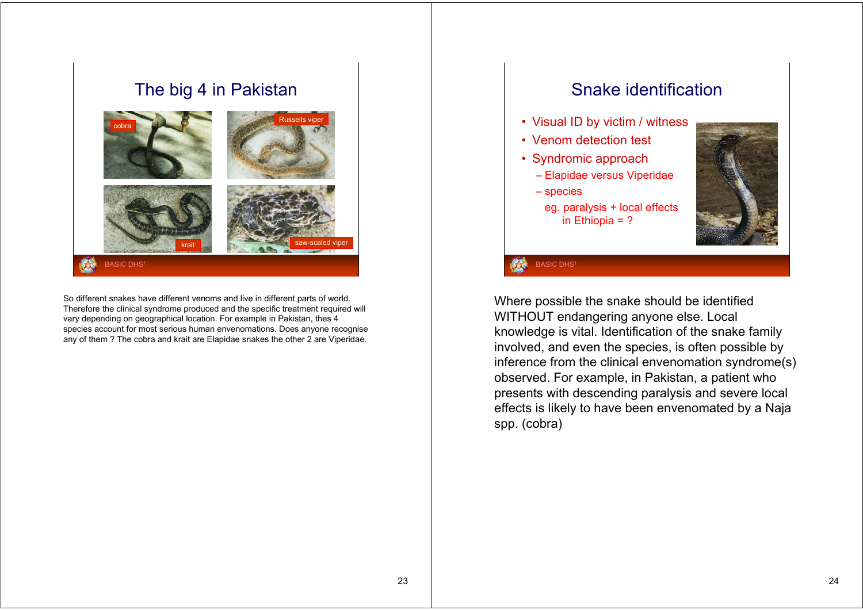### The big 4 in Pakistan



So different snakes have different venoms and live in different parts of world. Therefore the clinical syndrome produced and the specific treatment required will vary depending on geographical location. For example in Pakistan, thes 4 species account for most serious human envenomations. Does anyone recognise any of them ? The cobra and krait are Elapidae snakes the other 2 are Viperidae.

## Snake identification

- Visual ID by victim / witness
- Venom detection test
- Syndromic approach
	- Elapidae versus Viperidae
	- species
	- eg. paralysis + local effects in Ethiopia = ?



#### **BASIC DHS**

Where possible the snake should be identified WITHOUT endangering anyone else. Local knowledge is vital. Identification of the snake family involved, and even the species, is often possible by inference from the clinical envenomation syndrome(s) observed. For example, in Pakistan, a patient who presents with descending paralysis and severe local effects is likely to have been envenomated by a Naja spp. (cobra)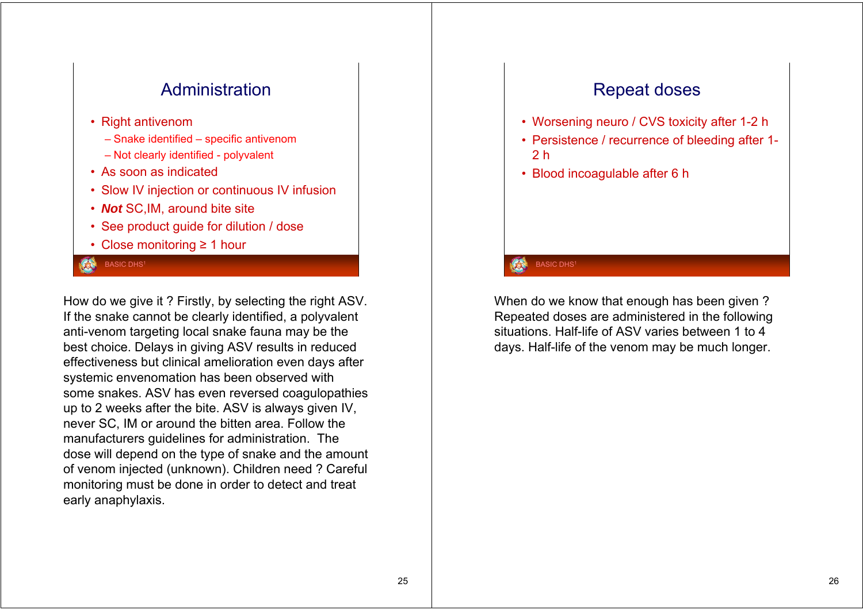

How do we give it ? Firstly, by selecting the right ASV. If the snake cannot be clearly identified, a polyvalent anti-venom targeting local snake fauna may be the best choice. Delays in giving ASV results in reduced effectiveness but clinical amelioration even days after systemic envenomation has been observed with some snakes. ASV has even reversed coagulopathies up to 2 weeks after the bite. ASV is always given IV, never SC, IM or around the bitten area. Follow the manufacturers guidelines for administration. The dose will depend on the type of snake and the amount of venom injected (unknown). Children need ? Careful monitoring must be done in order to detect and treat early anaphylaxis.

# Repeat doses

- Worsening neuro / CVS toxicity after 1-2 h
- Persistence / recurrence of bleeding after 1- 2 h
- Blood incoagulable after 6 h

### **BASIC DHS**

When do we know that enough has been given ? Repeated doses are administered in the following situations. Half-life of ASV varies between 1 to 4 days. Half-life of the venom may be much longer.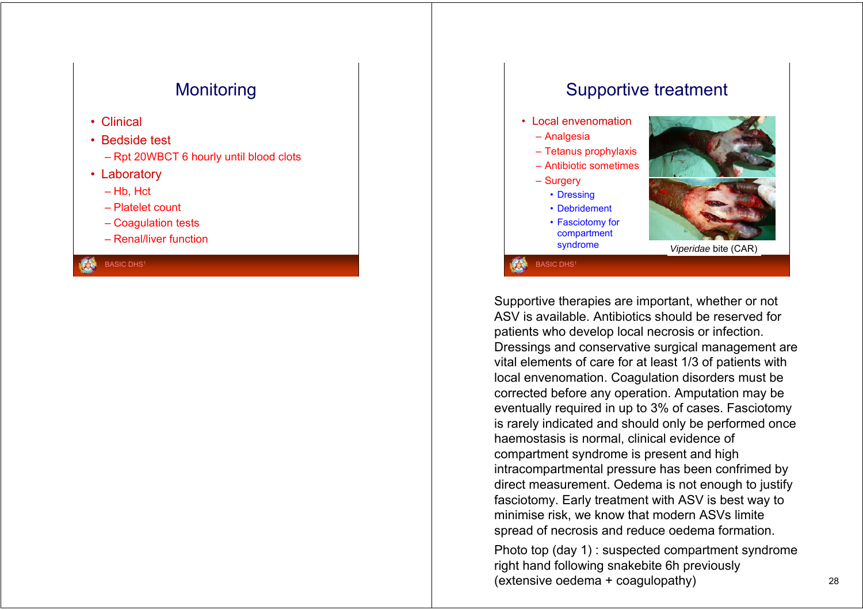# **Monitoring**

• Clinical

### • Bedside test

- Rpt 20WBCT 6 hourly until blood clots
- Laboratory
	- Hb, Hct
	- Platelet count
	- Coagulation tests
	- Renal/liver function

**BASIC DHS<sup>1</sup>** 

# Supportive treatment

- Local envenomation
- Analgesia
- Tetanus prophylaxis
- Antibiotic sometimes
- Surgery
	- Dressing
	- Debridement
	- Fasciotomy for compartment

**BASIC DHS<sup>1</sup>** 



syndrome *Viperidae* bite (CAR)

Supportive therapies are important, whether or not ASV is available. Antibiotics should be reserved for patients who develop local necrosis or infection. Dressings and conservative surgical management are vital elements of care for at least 1/3 of patients with local envenomation. Coagulation disorders must be corrected before any operation. Amputation may be eventually required in up to 3% of cases. Fasciotomy is rarely indicated and should only be performed once haemostasis is normal, clinical evidence of compartment syndrome is present and high intracompartmental pressure has been confrimed by direct measurement. Oedema is not enough to justify fasciotomy. Early treatment with ASV is best way to minimise risk, we know that modern ASVs limite spread of necrosis and reduce oedema formation.

Photo top (day 1) : suspected compartment syndrome right hand following snakebite 6h previously (extensive oedema + coagulopathy) <sup>28</sup>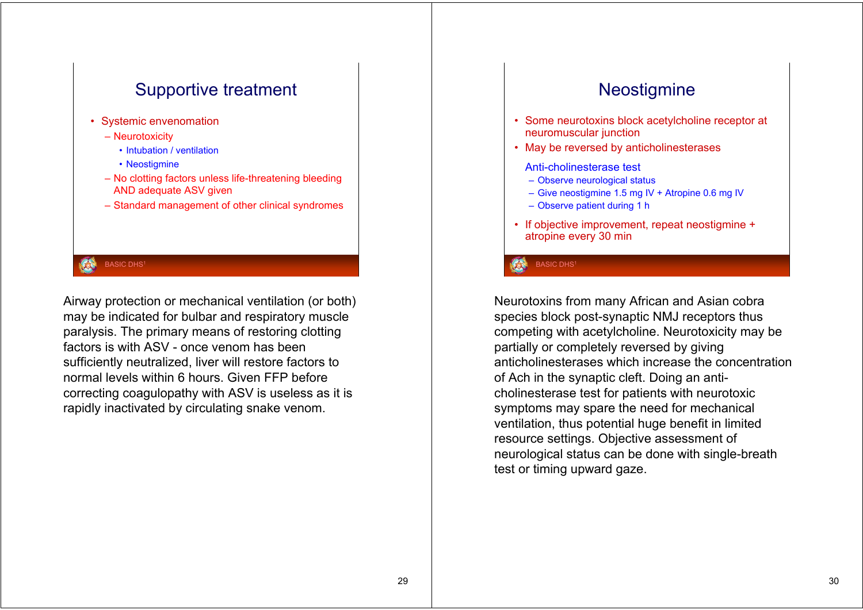

Airway protection or mechanical ventilation (or both) may be indicated for bulbar and respiratory muscle paralysis. The primary means of restoring clotting factors is with ASV - once venom has been sufficiently neutralized, liver will restore factors to normal levels within 6 hours. Given FFP before correcting coagulopathy with ASV is useless as it is rapidly inactivated by circulating snake venom.

# **Neostigmine**

- Some neurotoxins block acetylcholine receptor at neuromuscular junction
- May be reversed by anticholinesterases
	- Anti-cholinesterase test
	- Observe neurological status
	- Give neostigmine 1.5 mg IV + Atropine 0.6 mg IV
	- Observe patient during 1 h
- If objective improvement, repeat neostigmine <sup>+</sup> atropine every 30 min

**BASIC DHS1** 

Neurotoxins from many African and Asian cobra species block post-synaptic NMJ receptors thus competing with acetylcholine. Neurotoxicity may be partially or completely reversed by giving anticholinesterases which increase the concentration of Ach in the synaptic cleft. Doing an anticholinesterase test for patients with neurotoxic symptoms may spare the need for mechanical ventilation, thus potential huge benefit in limited resource settings. Objective assessment of neurological status can be done with single-breath test or timing upward gaze.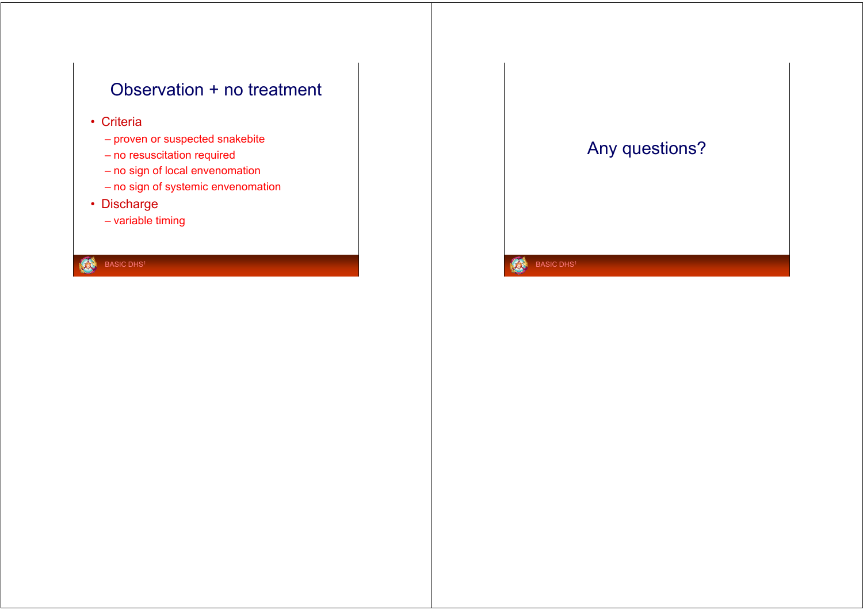# Observation + no treatment

- Criteria
	- proven or suspected snakebite
	- no resuscitation required
	- no sign of local envenomation
	- no sign of systemic envenomation
- Discharge
	- variable timing

**CD** 



Á.